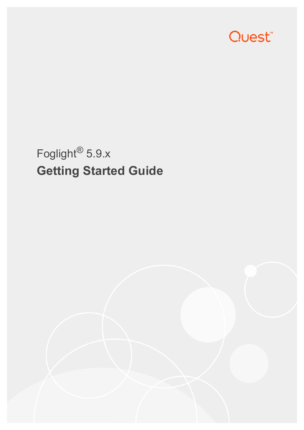

# Foglight® 5.9.x **Getting Started Guide**

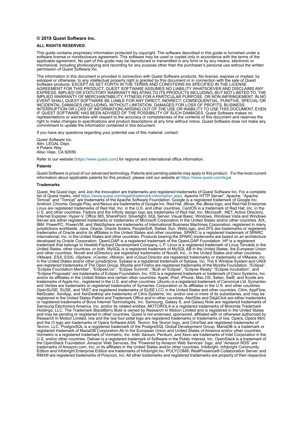#### **© 2018 Quest Software Inc.**

#### **ALL RIGHTS RESERVED.**

This guide contains proprietary information protected by copyright. The software described in this guide is furnished under a software license or nondisclosure agreement. This software may be used or copied only in accordance with the terms of the applicable agreement. No part of this guide may be reproduced or transmitted in any form or by any means, electronic or mechanical, including photocopying and recording for any purpose other than the purchaser's personal use without the written permission of Quest Software Inc.

The information in this document is provided in connection with Quest Software products. No license, express or implied, by estoppel or otherwise, to any intellectual property right is granted by this document or in connection with the sale of Quest<br>Software products. EXCEPT AS SET FORTH IN THE TERMS AND CONDITIONS AS SPECIFIED IN THE LICENSE<br>A EXPRESS, IMPLIED OR STATUTORY WARRANTY RELATING TO ITS PRODUCTS INCLUDING, BUT NOT LIMITED TO, THE IMPLIED WARRANTY OF MERCHANTABILITY, FITNESS FOR A PARTICULAR PURPOSE, OR NON-INFRINGEMENT. IN NO EVENT SHALL QUEST SOFTWARE BE LIABLE FOR ANY DIRECT, INDIRECT, CONSEQUENTIAL, PUNITIVE, SPECIAL OR INCIDENTAL DAMAGES (INCLUDING, WITHOUT LIMITATION, DAMAGES FOR LOSS OF PROFITS, BUSINESS<br>INTERRUPTION OR LOSS OF INFORMATION) ARISING OUT OF THE USE OR INABILITY TO USE THIS DOCUMENT, EVEN IF QUEST SOFTWARE HAS BEEN ADVISED OF THE POSSIBILITY OF SUCH DAMAGES. Quest Software makes no representations or warranties with respect to the accuracy or completeness of the contents of this document and reserves the right to make changes to specifications and product descriptions at any time without notice. Quest Software does not make any commitment to update the information contained in this document.

If you have any questions regarding your potential use of this material, contact:

Quest Software Inc. Attn: LEGAL Dept. 4 Polaris Way Aliso Viejo, CA 92656

Refer to our website [\(https://www.quest.com](https://www.quest.com)) for regional and international office information.

#### **Patents**

Quest Software is proud of our advanced technology. Patents and pending patents may apply to this product. For the most current information about applicable patents for this product, please visit our website at [https://www.quest.com/legal.](https://www.quest.com/legal)

#### **Trademarks**

Quest, the Quest logo, and Join the Innovation are trademarks and registered trademarks of Quest Software Inc. For a complete list of Quest marks, visit <https://www.quest.com/legal/trademark-information.aspx>. Apache HTTP Server", Apache, "Apache<br>Tomcat" and "Tomcat" are trademarks of the Apache Software Foundation. Google is a registered trademar Linux are registered trademarks of Red Hat, Inc. in the U.S. and other countries. CentOS is a trademark of Red Hat, Inc. in the U.S. and other countries. Fedora and the Infinity design logo are trademarks of Red Hat, Inc. Microsoft, .NET, Active Directory, Internet Explorer, Hyper-V, Office 365, SharePoint, Silverlight, SQL Server, Visual Basic, Windows, Windows Vista and Windows Server are either registered trademarks or trademarks of Microsoft Corporation in the United States and/or other countries. AIX, IBM, PowerPC, PowerVM, and WebSphere are trademarks of International Business Machines Corporation, registered in many<br>jurisdictions worldwide. Java, Oracle, Oracle Solaris, PeopleSoft, Siebel, Sun, WebLogic, and ZFS are t trademarks of Oracle and/or its affiliates in the United States and other countries. SPARC is a registered trademark of SPARC<br>International, Inc. in the United States and other countries. Products bearing the SPARC tradema developed by Oracle Corporation. OpenLDAP is a registered trademark of the OpenLDAP Foundation. HP is a registered trademark that belongs to Hewlett-Packard Development Company, L.P. Linux is a registered trademark of Linus Torvalds in the United States, other countries, or both. MySQL is a registered trademark of MySQL AB in the United States, the European Union and other countries. Novell and eDirectory are registered trademarks of Novell, Inc., in the United States and other countries.<br>
VMware, ESX, ESXi, vSphere, vCenter, vMotion, and vCloud Director are registered trademarks o VMware, ESX, ESXi, vSphere, vCenter, vMotion, and vCloud Director are registered trademarks or trademarks of VMware, Inc.<br>in the United States and/or other jurisdictions. Sybase is a registered trademark of Sybase, Inc. Th "Eclipse Foundation Member", "EclipseCon", "Eclipse Summit", "Built on Eclipse", "Eclipse Ready" "Eclipse Incubation", and<br>"Eclipse Proposals" are trademarks of Eclipse Foundation, Inc. IOS is a registered trademark or tra trademarks of Apple Inc., registered in the U.S. and other countries. Ubuntu is a registered trademark of Canonical Ltd. Symantec<br>and Veritas are trademarks or registered trademarks of Symantec Corporation or its affiliate NetScaler, XenApp, and XenDesktop are trademarks of Citrix Systems, Inc. and/or one or more of its subsidiaries, and may be registered in the United States Patent and Trademark Office and in other countries. AlertSite and DéjàClick are either trademarks or registered trademarks of Boca Internet Technologies, Inc. Samsung, Galaxy S, and Galaxy Note are registered trademarks of Samsung Electronics America, Inc. and/or its related entities. MOTOROLA is a registered trademarks of Motorola Trademark<br>Holdings, LLC. The Trademark BlackBerry Bold is owned by Research In Motion Limited and is registered Research In Motion Limited. Ixia and the Ixia four-petal logo are registered trademarks or trademarks of Ixia. Opera, Opera Mini, and the O logo are trademarks of Opera Software ASA. Tevron, the Tevron logo, and CitraTest are registered trademarks of Tevron, LLC. PostgreSQL is a registered trademark of the PostgreSQL Global Development Group. MariaDB is a trademark or registered trademark of MariaDB Corporation Ab in the European Union and United States of America and/or other countries.<br>Vormetric is a registered trademark of Vormetric, Inc. Intel, Itanium, Pentium, and Xeon are tradema the OpenStack Foundation. Amazon Web Services, the "Powered by Amazon Web Services" logo, and "Amazon RDS" are<br>trademarks of Amazon.com, Inc. or its affiliates in the United States and/or other countries. Infobright, Infob Edition and Infobright Enterprise Edition are trademarks of Infobright Inc. POLYCOM®, RealPresence® Collaboration Server, and RMX® are registered trademarks of Polycom, Inc. All other trademarks and registered trademarks are property of their respective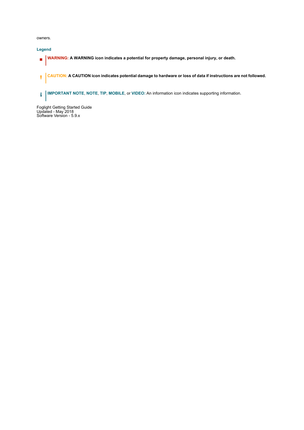owners.

**Legend**

- **WARNING: A WARNING icon indicates a potential for property damage, personal injury, or death.**  $\blacksquare$
- **CAUTION: A CAUTION icon indicates potential damage to hardware or loss of data if instructions are not followed.** ţ
- **IMPORTANT NOTE**, **NOTE**, **TIP**, **MOBILE**, or **VIDEO:** An information icon indicates supporting information.

Foglight Getting Started Guide Updated - May 2018 Software Version - 5.9.x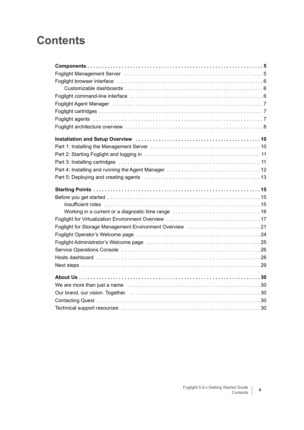#### **Contents**

| Foglight Agent Manager (also contained also contained a state of the contact of the contact of the contact of the contact of the contact of the contact of the contact of the contact of the contact of the contact of the con |
|--------------------------------------------------------------------------------------------------------------------------------------------------------------------------------------------------------------------------------|
|                                                                                                                                                                                                                                |
|                                                                                                                                                                                                                                |
|                                                                                                                                                                                                                                |
|                                                                                                                                                                                                                                |
|                                                                                                                                                                                                                                |
|                                                                                                                                                                                                                                |
|                                                                                                                                                                                                                                |
|                                                                                                                                                                                                                                |
|                                                                                                                                                                                                                                |
|                                                                                                                                                                                                                                |
|                                                                                                                                                                                                                                |
|                                                                                                                                                                                                                                |
| Insufficient roles experiences and the contract of the contract of the contract of the contract of the contract of the contract of the contract of the contract of the contract of the contract of the contract of the contrac |
|                                                                                                                                                                                                                                |
|                                                                                                                                                                                                                                |
|                                                                                                                                                                                                                                |
|                                                                                                                                                                                                                                |
|                                                                                                                                                                                                                                |
|                                                                                                                                                                                                                                |
|                                                                                                                                                                                                                                |
|                                                                                                                                                                                                                                |
|                                                                                                                                                                                                                                |
|                                                                                                                                                                                                                                |
|                                                                                                                                                                                                                                |
|                                                                                                                                                                                                                                |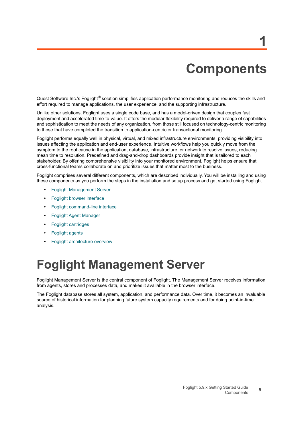# **Components**

**1**

<span id="page-4-0"></span>Quest Software Inc.'s Foglight® solution simplifies application performance monitoring and reduces the skills and effort required to manage applications, the user experience, and the supporting infrastructure.

Unlike other solutions, Foglight uses a single code base, and has a model-driven design that couples fast deployment and accelerated time-to-value. It offers the modular flexibility required to deliver a range of capabilities and sophistication to meet the needs of any organization, from those still focused on technology-centric monitoring to those that have completed the transition to application-centric or transactional monitoring.

Foglight performs equally well in physical, virtual, and mixed infrastructure environments, providing visibility into issues affecting the application and end-user experience. Intuitive workflows help you quickly move from the symptom to the root cause in the application, database, infrastructure, or network to resolve issues, reducing mean time to resolution. Predefined and drag-and-drop dashboards provide insight that is tailored to each stakeholder. By offering comprehensive visibility into your monitored environment, Foglight helps ensure that cross-functional teams collaborate on and prioritize issues that matter most to the business.

Foglight comprises several different components, which are described individually. You will be installing and using these components as you perform the steps in the installation and setup process and get started using Foglight.

- **•** [Foglight Management Server](#page-4-1)
- **•** [Foglight browser interface](#page-5-0)
- **•** [Foglight command-line interface](#page-5-2)
- **•** [Foglight Agent Manager](#page-6-0)
- **•** [Foglight cartridges](#page-6-1)
- **•** [Foglight agents](#page-6-2)
- **•** [Foglight architecture overview](#page-7-0)

#### <span id="page-4-1"></span>**Foglight Management Server**

Foglight Management Server is the central component of Foglight. The Management Server receives information from agents, stores and processes data, and makes it available in the browser interface.

The Foglight database stores all system, application, and performance data. Over time, it becomes an invaluable source of historical information for planning future system capacity requirements and for doing point-in-time analysis.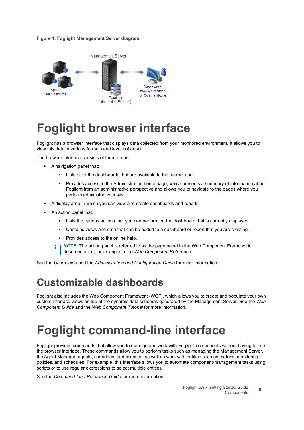#### **Figure 1. Foglight Management Server diagram**



## <span id="page-5-0"></span>**Foglight browser interface**

Foglight has a browser interface that displays data collected from your monitored environment. It allows you to view this data in various formats and levels of detail.

The browser interface consists of three areas:

- **•** A navigation panel that:
	- Lists all of the dashboards that are available to the current user.
	- **▪** Provides access to the Administration home page, which presents a summary of information about Foglight from an administrative perspective and allows you to navigate to the pages where you perform administrative tasks.
- **•** A display area in which you can view and create dashboards and reports.
- **•** An action panel that:
	- **▪** Lists the various actions that you can perform on the dashboard that is currently displayed.
	- Contains views and data that can be added to a dashboard or report that you are creating.
	- **▪** Provides access to the online help.
	- **NOTE:** The action panel is referred to as the page panel in the Web Component Framework i documentation, for example in the *Web Component Reference*.

See the *User Guide* and the *Administration and Configuration Guide* for more information.

#### <span id="page-5-1"></span>**Customizable dashboards**

Foglight also includes the Web Component Framework (WCF), which allows you to create and populate your own custom interface views on top of the dynamic data schemas generated by the Management Server. See the *Web Component Guide* and the *Web Component Tutorial* for more information.

## <span id="page-5-2"></span>**Foglight command-line interface**

Foglight provides commands that allow you to manage and work with Foglight components without having to use the browser interface. These commands allow you to perform tasks such as managing the Management Server, the Agent Manager, agents, cartridges, and licenses, as well as work with entities such as metrics, monitoring policies, and schedules. For example, this interface allows you to automate component-management tasks using scripts or to use regular expressions to select multiple entities.

See the *Command-Line Reference Guide* for more information.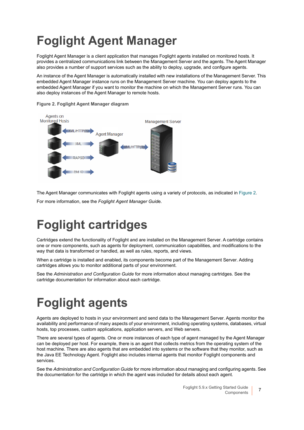# <span id="page-6-0"></span>**Foglight Agent Manager**

Foglight Agent Manager is a client application that manages Foglight agents installed on monitored hosts. It provides a centralized communications link between the Management Server and the agents. The Agent Manager also provides a number of support services such as the ability to deploy, upgrade, and configure agents.

An instance of the Agent Manager is automatically installed with new installations of the Management Server. This embedded Agent Manager instance runs on the Management Server machine. You can deploy agents to the embedded Agent Manager if you want to monitor the machine on which the Management Server runs. You can also deploy instances of the Agent Manager to remote hosts.



<span id="page-6-3"></span>**Figure 2. Foglight Agent Manager diagram**

The Agent Manager communicates with Foglight agents using a variety of protocols, as indicated in [Figure 2](#page-6-3).

For more information, see the *Foglight Agent Manager Guid*e.

# <span id="page-6-1"></span>**Foglight cartridges**

Cartridges extend the functionality of Foglight and are installed on the Management Server. A cartridge contains one or more components, such as agents for deployment, communication capabilities, and modifications to the way that data is transformed or handled, as well as rules, reports, and views.

When a cartridge is installed and enabled, its components become part of the Management Server. Adding cartridges allows you to monitor additional parts of your environment.

See the *Administration and Configuration Guide* for more information about managing cartridges. See the cartridge documentation for information about each cartridge.

# <span id="page-6-2"></span>**Foglight agents**

Agents are deployed to hosts in your environment and send data to the Management Server. Agents monitor the availability and performance of many aspects of your environment, including operating systems, databases, virtual hosts, top processes, custom applications, application servers, and Web servers.

There are several types of agents. One or more instances of each type of agent managed by the Agent Manager can be deployed per host. For example, there is an agent that collects metrics from the operating system of the host machine. There are also agents that are embedded into systems or the software that they monitor, such as the Java EE Technology Agent. Foglight also includes internal agents that monitor Foglight components and services.

See the *Administration and Configuration Guide* for more information about managing and configuring agents. See the documentation for the cartridge in which the agent was included for details about each agent.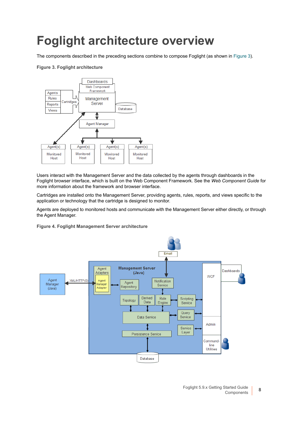## <span id="page-7-0"></span>**Foglight architecture overview**

The components described in the preceding sections combine to compose Foglight (as shown in [Figure 3\)](#page-7-1).

#### <span id="page-7-1"></span>**Figure 3. Foglight architecture**



Users interact with the Management Server and the data collected by the agents through dashboards in the Foglight browser interface, which is built on the Web Component Framework. See the *Web Component Guide* for more information about the framework and browser interface.

Cartridges are installed onto the Management Server, providing agents, rules, reports, and views specific to the application or technology that the cartridge is designed to monitor.

Agents are deployed to monitored hosts and communicate with the Management Server either directly, or through the Agent Manager.

**Figure 4. Foglight Management Server architecture**

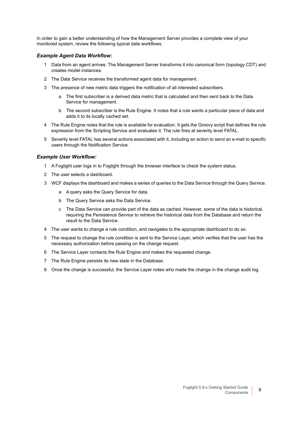In order to gain a better understanding of how the Management Server provides a complete view of your monitored system, review the following typical data workflows.

#### *Example Agent Data Workflow:*

- 1 Data from an agent arrives. The Management Server transforms it into canonical form (topology CDT) and creates model instances.
- 2 The Data Service receives the transformed agent data for management.
- 3 The presence of new metric data triggers the notification of all interested subscribers.
	- a The first subscriber is a derived data metric that is calculated and then sent back to the Data Service for management.
	- b The second subscriber is the Rule Engine. It notes that a rule wants a particular piece of data and adds it to its locally cached set.
- 4 The Rule Engine notes that the rule is available for evaluation. It gets the Groovy script that defines the rule expression from the Scripting Service and evaluates it. The rule fires at severity level FATAL.
- 5 Severity level FATAL has several actions associated with it, including an action to send an e-mail to specific users through the Notification Service.

#### *Example User Workflow:*

- 1 A Foglight user logs in to Foglight through the browser interface to check the system status.
- 2 The user selects a dashboard.
- 3 WCF displays the dashboard and makes a series of queries to the Data Service through the Query Service.
	- a A query asks the Query Service for data.
	- b The Query Service asks the Data Service.
	- c The Data Service can provide part of the data as cached. However, some of the data is historical, requiring the Persistence Service to retrieve the historical data from the Database and return the result to the Data Service.
- 4 The user wants to change a rule condition, and navigates to the appropriate dashboard to do so.
- 5 The request to change the rule condition is sent to the Service Layer, which verifies that the user has the necessary authorization before passing on the change request.
- 6 The Service Layer contacts the Rule Engine and makes the requested change.
- 7 The Rule Engine persists its new state in the Database.
- 8 Once the change is successful, the Service Layer notes who made the change in the change audit log.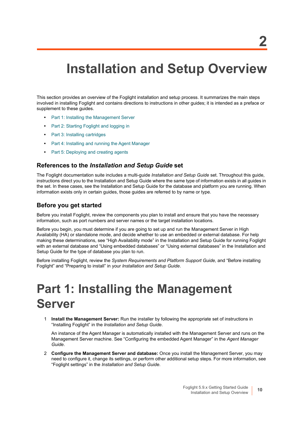## <span id="page-9-0"></span>**Installation and Setup Overview**

This section provides an overview of the Foglight installation and setup process. It summarizes the main steps involved in installing Foglight and contains directions to instructions in other guides; it is intended as a preface or supplement to these guides.

- **•** [Part 1: Installing the Management Server](#page-9-1)
- **•** [Part 2: Starting Foglight and logging in](#page-10-0)
- **•** [Part 3: Installing cartridges](#page-10-1)
- **•** [Part 4: Installing and running the Agent Manager](#page-11-0)
- **•** [Part 5: Deploying and creating agents](#page-12-0)

#### **References to the** *Installation and Setup Guide* **set**

The Foglight documentation suite includes a multi-guide *Installation and Setup Guide* set. Throughout this guide, instructions direct you to the Installation and Setup Guide where the same type of information exists in all guides in the set. In these cases, see the Installation and Setup Guide for the database and platform you are running. When information exists only in certain guides, those guides are referred to by name or type.

#### **Before you get started**

Before you install Foglight, review the components you plan to install and ensure that you have the necessary information, such as port numbers and server names or the target installation locations.

Before you begin, you must determine if you are going to set up and run the Management Server in High Availability (HA) or standalone mode, and decide whether to use an embedded or external database. For help making these determinations, see "High Availability mode" in the Installation and Setup Guide for running Foglight with an external database and "Using embedded databases" or "Using external databases" in the Installation and Setup Guide for the type of database you plan to run.

Before installing Foglight, review the *System Requirements and Platform Support Guide,* and "Before installing Foglight" and "Preparing to install" in your *Installation and Setup Guide*.

### <span id="page-9-1"></span>**Part 1: Installing the Management Server**

1 **Install the Management Server:** Run the installer by following the appropriate set of instructions in "Installing Foglight" in the *Installation and Setup Guide*.

An instance of the Agent Manager is automatically installed with the Management Server and runs on the Management Server machine. See "Configuring the embedded Agent Manager" in the *Agent Manager Guide*.

2 **Configure the Management Server and database:** Once you install the Management Server, you may need to configure it, change its settings, or perform other additional setup steps. For more information, see "Foglight settings" in the *Installation and Setup Guide*.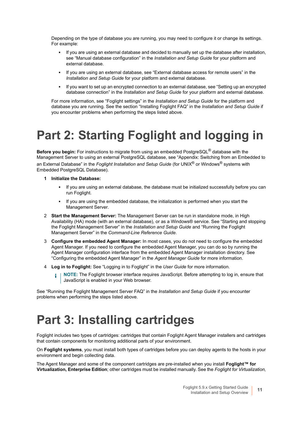Depending on the type of database you are running, you may need to configure it or change its settings. For example:

- **▪** If you are using an external database and decided to manually set up the database after installation, see "Manual database configuration" in the *Installation and Setup Guide* for your platform and external database.
- **▪** If you are using an external database, see "External database access for remote users" in the *Installation and Setup Guide* for your platform and external database.
- **▪** If you want to set up an encrypted connection to an external database, see "Setting up an encrypted database connection" in the *Installation and Setup Guide* for your platform and external database.

For more information, see "Foglight settings" in the *Installation and Setup Guide* for the platform and database you are running. See the section "Installing Foglight FAQ" in the *Installation and Setup Guide* if you encounter problems when performing the steps listed above.

# <span id="page-10-0"></span>**Part 2: Starting Foglight and logging in**

**Before you begin:** For instructions to migrate from using an embedded PostgreSQL® database with the Management Server to using an external PostgreSQL database, see "Appendix: Switching from an Embedded to an External Database" in the *Foglight Installation and Setup Guide* (for UNIX® or Windows® systems with Embedded PostgreSQL Database).

- **1 Initialize the Database:**
	- **▪** If you are using an external database, the database must be initialized successfully before you can run Foglight.
	- **▪** If you are using the embedded database, the initialization is performed when you start the Management Server.
- 2 **Start the Management Server:** The Management Server can be run in standalone mode, in High Availability (HA) mode (with an external database), or as a Windows® service. See "Starting and stopping the Foglight Management Server" in the *Installation and Setup Guide* and "Running the Foglight Management Server" in the *Command-Line Reference Guide*.
- 3 **Configure the embedded Agent Manager:** In most cases, you do not need to configure the embedded Agent Manager. If you need to configure the embedded Agent Manager, you can do so by running the Agent Manager configuration interface from the embedded Agent Manager installation directory. See "Configuring the embedded Agent Manager" in the *Agent Manager Guide* for more information.
- 4 **Log in to Foglight:** See "Logging in to Foglight" in the *User Guide* for more information.
	- **NOTE:** The Foglight browser interface requires JavaScript. Before attempting to log in, ensure that ÷ JavaScript is enabled in your Web browser.

See "Running the Foglight Management Server FAQ" in the *Installation and Setup Guide* if you encounter problems when performing the steps listed above.

### <span id="page-10-1"></span>**Part 3: Installing cartridges**

Foglight includes two types of cartridges: cartridges that contain Foglight Agent Manager installers and cartridges that contain components for monitoring additional parts of your environment.

On **Foglight systems**, you must install both types of cartridges before you can deploy agents to the hosts in your environment and begin collecting data.

The Agent Manager and some of the component cartridges are pre-installed when you install **Foglight™ for Virtualization, Enterprise Edition**; other cartridges must be installed manually. See the *Foglight for Virtualization,*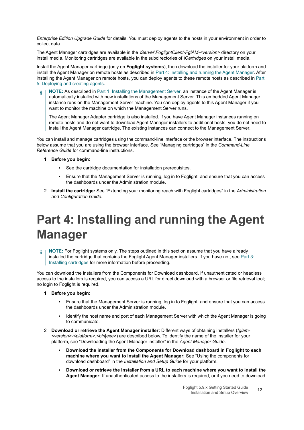*Enterprise Edition Upgrade Guide* for details. You must deploy agents to the hosts in your environment in order to collect data.

The Agent Manager cartridges are available in the *\Server\FoglightClient-FglAM-<version>* directory on your install media. Monitoring cartridges are available in the subdirectories of *\Cartridges* on your install media.

Install the Agent Manager cartridge (only on **Foglight systems**), then download the installer for your platform and install the Agent Manager on remote hosts as described in [Part 4: Installing and running the Agent Manager](#page-11-0). After installing the Agent Manager on remote hosts, you can deploy agents to these remote hosts as described in [Part](#page-12-0)  [5: Deploying and creating agents](#page-12-0).

**NOTE:** As described in [Part 1: Installing the Management Server,](#page-9-1) an instance of the Agent Manager is ÷ automatically installed with new installations of the Management Server. This embedded Agent Manager instance runs on the Management Server machine. You can deploy agents to this Agent Manager if you want to monitor the machine on which the Management Server runs.

The Agent Manager Adapter cartridge is also installed. If you have Agent Manager instances running on remote hosts and do not want to download Agent Manager installers to additional hosts, you do not need to install the Agent Manager cartridge. The existing instances can connect to the Management Server.

You can install and manage cartridges using the command-line interface or the browser interface. The instructions below assume that you are using the browser interface. See "Managing cartridges" in the *Command-Line Reference Guide* for command-line instructions.

- **1 Before you begin:**
	- **▪** See the cartridge documentation for installation prerequisites.
	- **▪** Ensure that the Management Server is running, log in to Foglight, and ensure that you can access the dashboards under the Administration module.
- 2 **Install the cartridge:** See "Extending your monitoring reach with Foglight cartridges" in the *Administration and Configuration Guide*.

## <span id="page-11-0"></span>**Part 4: Installing and running the Agent Manager**

**NOTE:** For Foglight systems only. The steps outlined in this section assume that you have already i installed the cartridge that contains the Foglight Agent Manager installers. If you have not, see [Part 3:](#page-10-1)  [Installing cartridges](#page-10-1) for more information before proceeding.

You can download the installers from the Components for Download dashboard. If unauthenticated or headless access to the installers is required, you can access a URL for direct download with a browser or file retrieval tool; no login to Foglight is required.

- **1 Before you begin:**
	- Ensure that the Management Server is running, log in to Foglight, and ensure that you can access the dashboards under the Administration module.
	- **Identify the host name and port of each Management Server with which the Agent Manager is going** to communicate.
- 2 **Download or retrieve the Agent Manager installer:** Different ways of obtaining installers (*fglam- <version>-<platform>.<bin|exe>*) are described below. To identify the name of the installer for your platform, see "Downloading the Agent Manager installer" in the *Agent Manager Guide*.
	- **▪ Download the installer from the Components for Download dashboard in Foglight to each machine where you want to install the Agent Manager:** See "Using the components for download dashboard" in the *Installation and Setup Guide* for your platform.
	- **▪ Download or retrieve the installer from a URL to each machine where you want to install the Agent Manager:** If unauthenticated access to the installers is required, or if you need to download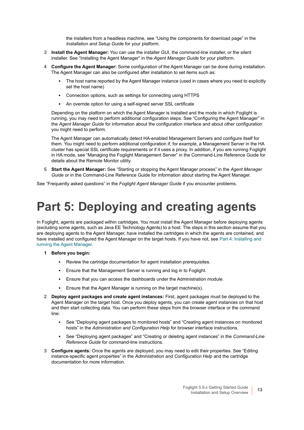the installers from a headless machine, see "Using the components for download page" in the *Installation and Setup Guide* for your platform.

- 3 **Install the Agent Manager:** You can use the installer GUI, the command-line installer, or the silent installer. See "Installing the Agent Manager" in the *Agent Manager Guide* for your platform.
- 4 **Configure the Agent Manager:** Some configuration of the Agent Manager can be done during installation. The Agent Manager can also be configured after installation to set items such as:
	- **▪** The host name reported by the Agent Manager instance (used in cases where you need to explicitly set the host name)
	- **▪** Connection options, such as settings for connecting using HTTPS
	- **▪** An override option for using a self-signed server SSL certificate

Depending on the platform on which the Agent Manager is installed and the mode in which Foglight is running, you may need to perform additional configuration steps. See "Configuring the Agent Manager" in the *Agent Manager Guide* for information about the configuration interface and about other configuration you might need to perform.

The Agent Manager can automatically detect HA-enabled Management Servers and configure itself for them. You might need to perform additional configuration if, for example, a Management Server in the HA cluster has special SSL certificate requirements or if it uses a proxy. In addition, if you are running Foglight in HA mode, see "Managing the Foglight Management Server" in the Command-Line Reference Guide for details about the Remote Monitor utility.

5 **Start the Agent Manager:** See "Starting or stopping the Agent Manager process" in the *Agent Manager Guide* or in the Command-Line Reference Guide for information about starting the Agent Manager.

See "Frequently asked questions" in the *Foglight Agent Manager Guide* if you encounter problems.

### <span id="page-12-0"></span>**Part 5: Deploying and creating agents**

In Foglight, agents are packaged within cartridges. You must install the Agent Manager before deploying agents (excluding some agents, such as Java EE Technology Agents) to a host. The steps in this section assume that you are deploying agents to the Agent Manager, have installed the cartridges in which the agents are contained, and have installed and configured the Agent Manager on the target hosts. If you have not, see Part 4: Installing and [running the Agent Manager](#page-11-0).

- **1 Before you begin:**
	- **•** Review the cartridge documentation for agent installation prerequisites.
	- Ensure that the Management Server is running and log in to Foglight.
	- **▪** Ensure that you can access the dashboards under the Administration module.
	- **■** Ensure that the Agent Manager is running on the target machine(s).
- 2 **Deploy agent packages and create agent instances:** First, agent packages must be deployed to the Agent Manager on the target host. Once you deploy agents, you can create agent instances on that host and then start collecting data. You can perform these steps from the browser interface or the command line:
	- **▪** See "Deploying agent packages to monitored hosts" and "Creating agent instances on monitored hosts" in the *Administration and Configuration Help* for browser interface instructions.
	- **▪** See "Deploying agent packages" and "Creating or deleting agent instances" in the *Command-Line Reference Guide* for command-line instructions.
- 3 **Configure agents:** Once the agents are deployed, you may need to edit their properties. See "Editing instance-specific agent properties" in the *Administration and Configuration Help* and the cartridge documentation for more information.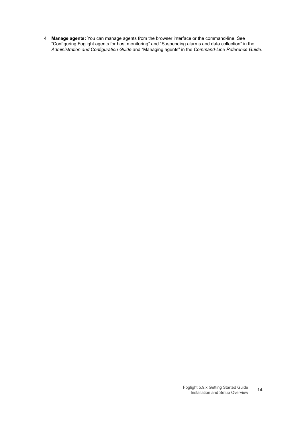4 **Manage agents:** You can manage agents from the browser interface or the command-line. See "Configuring Foglight agents for host monitoring" and "Suspending alarms and data collection" in the *Administration and Configuration Guide* and "Managing agents" in the *Command-Line Reference Guide*.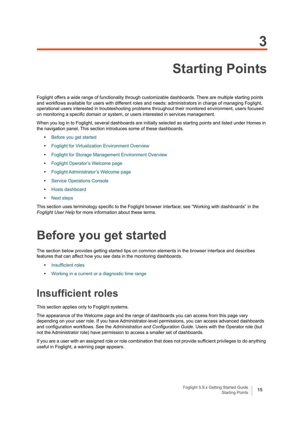# **Starting Points**

**3**

<span id="page-14-0"></span>Foglight offers a wide range of functionality through customizable dashboards. There are multiple starting points and workflows available for users with different roles and needs: administrators in charge of managing Foglight, operational users interested in troubleshooting problems throughout their monitored environment, users focused on monitoring a specific domain or system, or users interested in services management.

When you log in to Foglight, several dashboards are initially selected as starting points and listed under Homes in the navigation panel. This section introduces some of these dashboards.

- **•** [Before you get started](#page-14-1)
- **•** [Foglight for Virtualization Environment Overview](#page-16-0)
- **•** [Foglight for Storage Management Environment Overview](#page-20-0)
- **•** [Foglight Operator's Welcome page](#page-23-0)
- **•** [Foglight Administrator's Welcome page](#page-24-0)
- **•** [Service Operations Console](#page-25-0)
- **•** [Hosts dashboard](#page-27-0)
- **•** [Next steps](#page-28-0)

This section uses terminology specific to the Foglight browser interface; see "Working with dashboards" in the *Foglight User Help* for more information about these terms.

#### <span id="page-14-1"></span>**Before you get started**

The section below provides getting started tips on common elements in the browser interface and describes features that can affect how you see data in the monitoring dashboards.

- **•** [Insufficient roles](#page-14-2)
- **•** [Working in a current or a diagnostic time range](#page-15-0)

#### <span id="page-14-2"></span>**Insufficient roles**

This section applies only to Foglight systems.

The appearance of the Welcome page and the range of dashboards you can access from this page vary depending on your user role. If you have Administrator-level permissions, you can access advanced dashboards and configuration workflows. See the *Administration and Configuration Guide*. Users with the Operator role (but not the Administrator role) have permission to access a smaller set of dashboards.

If you are a user with an assigned role or role combination that does not provide sufficient privileges to do anything useful in Foglight, a warning page appears.

Starting Points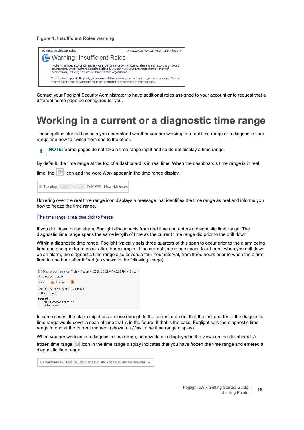**Figure 1. Insufficient Roles warning**



Contact your Foglight Security Administrator to have additional roles assigned to your account or to request that a different home page be configured for you.

#### <span id="page-15-0"></span>**Working in a current or a diagnostic time range**

These getting started tips help you understand whether you are working in a real time range or a diagnostic time range and how to switch from one to the other.

**NOTE:** Some pages do not take a time range input and so do not display a time range.i l

By default, the time range at the top of a dashboard is in real time. When the dashboard's time range is in real

time, the  $\left|\mathbb{G}\right|$  icon and the word *Now* appear in the time range display.

G Tuesday, 7:44 AM - Now 4.0 hours

Hovering over the real time range icon displays a message that identifies the time range as real and informs you how to freeze the time range.

The time range is real time click to freeze

If you drill down on an alarm, Foglight disconnects from real time and enters a diagnostic time range. The diagnostic time range spans the same length of time as the current time range did prior to the drill down.

Within a diagnostic time range, Foglight typically sets three quarters of this span to occur prior to the alarm being fired and one quarter to occur after. For example, if the current time range spans four hours, when you drill down on an alarm, the diagnostic time range also covers a four-hour interval, from three hours prior to when the alarm fired to one hour after it fired (as shown in the following image).

|         | [9] Diagnostic time range Friday, August 8, 2008 10:22 AM - 2:22 PM 4.0 hours |
|---------|-------------------------------------------------------------------------------|
|         | Processor Table(                                                              |
|         | Health: <b>a</b> Alarms: 1                                                    |
|         | Agent: Windows System on Host1                                                |
|         | Host: Host1                                                                   |
| Related | NT Processor Utilization<br>Data Browser                                      |

In some cases, the alarm might occur close enough to the current moment that the last quarter of the diagnostic time range would cover a span of time that is in the future. If that is the case, Foglight sets the diagnostic time range to end at the current moment (shown as *Now* in the time range display).

When you are working in a diagnostic time range, no new data is displayed in the views on the dashboard. A

frozen time range [U] icon in the time range display indicates that you have frozen the time range and entered a diagnostic time range.

G+ Wednesday, April 26, 2017 8:33:31 AM - 9:33:31 AM 60 minutes =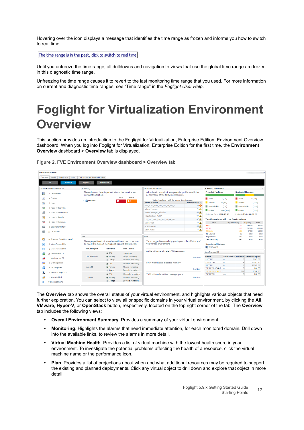Hovering over the icon displays a message that identifies the time range as frozen and informs you how to switch to real time.

The time range is in the past, click to switch to real time

Until you unfreeze the time range, all drilldowns and navigation to views that use the global time range are frozen in this diagnostic time range.

Unfreezing the time range causes it to revert to the last monitoring time range that you used. For more information on current and diagnostic time ranges, see "Time range" in the *Foglight User Help*.

### <span id="page-16-0"></span>**Foglight for Virtualization Environment Overview**

This section provides an introduction to the Foglight for Virtualization, Enterprise Edition, Environment Overview dashboard. When you log into Foglight for Virtualization, Enterprise Edition for the first time, the **Environment Overview** dashboard > **Overview** tab is displayed.

|            | <b>Environment Overview</b>                                                                    |                                                                  |                    |                                                          |                                                                                                     |                                                          |                                              |                                        |                                                                    |                  |                        |  |  |  |
|------------|------------------------------------------------------------------------------------------------|------------------------------------------------------------------|--------------------|----------------------------------------------------------|-----------------------------------------------------------------------------------------------------|----------------------------------------------------------|----------------------------------------------|----------------------------------------|--------------------------------------------------------------------|------------------|------------------------|--|--|--|
| Overview   | Protect<br>Health<br>Investigate                                                               | Getting Started & Administration                                 |                    |                                                          |                                                                                                     |                                                          |                                              |                                        |                                                                    |                  |                        |  |  |  |
|            | <b>VMware</b><br>All                                                                           | Hyper-V                                                          | OpenStack          |                                                          |                                                                                                     |                                                          |                                              |                                        |                                                                    |                  |                        |  |  |  |
|            | Overall Environment Summary                                                                    | Monitorina                                                       |                    |                                                          | Virtual Machine Health                                                                              |                                                          | <b>Machine Connectivity</b>                  |                                        |                                                                    |                  |                        |  |  |  |
| 開          | These domains have important alarms that require your<br>5 Datacenters<br>immediate attention. |                                                                  |                    |                                                          | A low health score indicates potential problems with the<br>performance of the following resources. | <b>Protected Machines</b>                                |                                              | <b>Replicated Machines</b>             |                                                                    |                  |                        |  |  |  |
| 14         | 6 Clusters                                                                                     | <b>Critical</b><br>Fatal<br>> MWare<br>$\Phi$ <sup>4</sup><br>64 |                    |                                                          | Virtual machines with the poorest performance<br><b>Virtual Machine</b>                             | <b>Failed</b><br><b>Paused</b>                           | 2(1%)<br>0(0%                                | <b>Falled</b><br>Paused                | 0(1%                                                               |                  |                        |  |  |  |
|            | 9 Hosts                                                                                        |                                                                  |                    |                                                          | FVE VC51 Win7 ENT SP1 EN x86 6.                                                                     | Performance ::<br>50 <sup>6</sup>                        | Unreachable                                  |                                        |                                                                    |                  | 2(33%)                 |  |  |  |
| <b>F</b> O | 9 Hosts in Operation                                                                           |                                                                  |                    |                                                          | vShield Manager                                                                                     | 75 <sub>A</sub>                                          | 7(1%)                                        |                                        | Unreachable                                                        |                  | 2(33%)                 |  |  |  |
| a.         | 0 Hosts in Maintenance                                                                         |                                                                  |                    |                                                          | vShield Manager vCloud51                                                                            | 83 A                                                     | <b>Online</b>                                | 606 (98%)                              | <b>Online</b>                                                      |                  | 2(33%)                 |  |  |  |
| r.         | 0 Hosts in Standby                                                                             |                                                                  |                    | migrationtest1 WIN7                                      | 87 4                                                                                                | Protected Data: 1308.45 GB                               |                                              | Replicated Data: 60.51 GB              |                                                                    |                  |                        |  |  |  |
|            |                                                                                                |                                                                  |                    |                                                          | Fog_TPL_Win7_ENT_SP1_x86_64_EN                                                                      | 87 <sub>A</sub>                                          | Top 6 Repositories with Least Days Remaining |                                        |                                                                    |                  |                        |  |  |  |
|            | 0 Hosts in Shutdown                                                                            |                                                                  |                    | View53Tran                                               | 88 A                                                                                                | <b>Name</b>                                              | Days Remaining                               |                                        | Capacity                                                           | Free             |                        |  |  |  |
|            | 0 Datastore Clusters                                                                           |                                                                  |                    |                                                          | XD76Static002                                                                                       | 88 A                                                     | <b>RRR</b><br>CIFS1                          |                                        | < 10<br><10                                                        | 149 GB<br>232 GB | 97 GB<br>138 GB        |  |  |  |
|            | 13 Datastores                                                                                  |                                                                  |                    | View61Conn                                               | 88 A                                                                                                | <b>RRDATA</b>                                            |                                              | < 30                                   | 27 GB                                                              | 13 GB            |                        |  |  |  |
|            |                                                                                                |                                                                  |                    |                                                          | CIFS2(2GB)                                                                                          |                                                          | >90                                          | $2$ GB                                 | 2 GB                                                               |                  |                        |  |  |  |
| Ø.         | 19 Resource Pools (Non-vApps)                                                                  | Plan                                                             |                    |                                                          | <b>Tune</b>                                                                                         |                                                          | Repository 3                                 |                                        | >90                                                                | 2 <sub>GB</sub>  | 2 GB                   |  |  |  |
|            |                                                                                                |                                                                  |                    | These projections indicate when additional resources may |                                                                                                     | These suggestions can help you improve the efficiency of |                                              |                                        | >90<br>9 <sub>GB</sub><br>9 <sub>GB</sub><br><b>TestRepository</b> |                  |                        |  |  |  |
| н,         | 2 vApps Powered On                                                                             | be needed to support existing and planned deployments.           |                    |                                                          | vour virtual environment.                                                                           | <b>Unprotected Machines</b>                              |                                              |                                        |                                                                    |                  |                        |  |  |  |
| 靐          | 1 vApps Powered Off                                                                            | <b>Virtual Object</b>                                            | Resource           | <b>Time To Full</b>                                      |                                                                                                     | <b>In VMWare: 77</b>                                     |                                              |                                        |                                                                    |                  |                        |  |  |  |
| Гø         | 25 VMs Powered On                                                                              |                                                                  | <b>EL CPU</b>      | - remaining                                              | 6 VMs with overallocated CPU resources                                                              | Core Servers (6)                                         |                                              |                                        |                                                                    |                  |                        |  |  |  |
|            | <b>SS VMs Powered Off</b>                                                                      | Cluster-51-Dev                                                   | um Memory          | 0 days remaining                                         |                                                                                                     | <b>Fix Now</b>                                           |                                              | Failed Jobs v Machines Protected Space |                                                                    |                  |                        |  |  |  |
|            |                                                                                                |                                                                  | <b>Ill</b> Storage | 24 weeks remaining                                       |                                                                                                     |                                                          |                                              | $\mathbf{0}$                           | 8                                                                  |                  | 62.67 GB               |  |  |  |
| R          | 1 VMs Suspended                                                                                |                                                                  | <b>M</b> CPU       | 13 weeks remaining                                       | 8 VM with unused allocated memory<br><b>Fix Now</b>                                                 |                                                          | <b>FVERRCORE</b><br>RRCORE1                  | $\Omega$<br>$\Omega$                   | $\overline{9}$<br>6                                                |                  | 252.01 GB<br>982.85 GB |  |  |  |
|            | 6 VM Templates                                                                                 | cluster51                                                        | um Memory          | 45 days remaining                                        |                                                                                                     |                                                          | YLZSERVERRENAME 0                            |                                        | $\theta$                                                           |                  | 0.00 GB                |  |  |  |
|            | 5 VMs with Snapshots                                                                           | <b>In Storage</b>                                                |                    | 7 months remaining                                       |                                                                                                     |                                                          | <b>YLZSERVERRENAME</b>                       | -1                                     | 599                                                                |                  | 72,00 GB               |  |  |  |
|            |                                                                                                |                                                                  | <b>M</b> CPU       | 15 months remaining                                      | 7 VM with under utilised storage space                                                              |                                                          | <b>YLZSERVER</b>                             | n/a                                    | $\theta$                                                           |                  | $0.00$ GB              |  |  |  |
|            | 3 VMs with Limit                                                                               | cluster55                                                        | um Memory          | 21 weeks remaining                                       |                                                                                                     | <b>Fix Now</b>                                           |                                              |                                        |                                                                    |                  |                        |  |  |  |
| 譜          | 0 Inaccessible VMs                                                                             |                                                                  | <b>Ill</b> Storage | 2+ vears remaining                                       |                                                                                                     |                                                          |                                              |                                        |                                                                    |                  |                        |  |  |  |
|            |                                                                                                |                                                                  |                    |                                                          |                                                                                                     |                                                          |                                              |                                        |                                                                    |                  |                        |  |  |  |

**Figure 2. FVE Environment Overview dashboard > Overview tab**

The **Overview** tab shows the overall status of your virtual environment, and highlights various objects that need further exploration. You can select to view all or specific domains in your virtual environment, by clicking the **All**, **VMware**, **Hyper-V**, or **OpenStack** button, respectively, located on the top right corner of the tab. The **Overview** tab includes the following views:

- **Overall Environment Summary**. Provides a summary of your virtual environment.
- **Monitoring**. Highlights the alarms that need immediate attention, for each monitored domain. Drill down into the available links, to review the alarms in more detail.
- **Virtual Machine Health**. Provides a list of virtual machine with the lowest health score in your environment. To investigate the potential problems affecting the health of a resource, click the virtual machine name or the performance icon.
- **Plan**. Provides a list of projections about when and what additional resources may be required to support the existing and planned deployments. Click any virtual object to drill down and explore that object in more detail.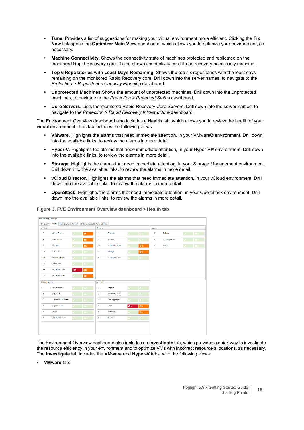- **Tune**. Provides a list of suggestions for making your virtual environment more efficient. Clicking the **Fix Now** link opens the **Optimizer Main View** dashboard, which allows you to optimize your environment, as necessary.
- **Machine Connectivity.** Shows the connectivity state of machines protected and replicated on the monitored Rapid Recovery core. It also shows connectivity for data on recovery points-only machine.
- **Top 6 Repositories with Least Days Remaining.** Shows the top six repositories with the least days remaining on the monitored Rapid Recovery core. Drill down into the server names, to navigate to the *Protection > Repositories Capacity Planning* dashboard.
- **Unprotected Machines.**Shows the amount of unprotected machines. Drill down into the unprotected machines, to navigate to the *Protection > Protected Status* dashboard.
- **Core Servers**. Lists the monitored Rapid Recovery Core Servers. Drill down into the server names, to navigate to the *Protection > Rapid Recovery Infrastructure* dashboard.

The Environment Overview dashboard also includes a **Health** tab, which allows you to review the health of your virtual environment. This tab includes the following views:

- **VMware**. Highlights the alarms that need immediate attention, in your VMware® environment. Drill down into the available links, to review the alarms in more detail.
- **Hyper-V**. Highlights the alarms that need immediate attention, in your Hyper-V® environment. Drill down into the available links, to review the alarms in more detail.
- **Storage**. Highlights the alarms that need immediate attention, in your Storage Management environment. Drill down into the available links, to review the alarms in more detail.
- **vCloud Director**. Highlights the alarms that need immediate attention, in your vCloud environment. Drill down into the available links, to review the alarms in more detail.
- **OpenStack**. Highlights the alarms that need immediate attention, in your OpenStack environment. Drill down into the available links, to review the alarms in more detail.



**Figure 3. FVE Environment Overview dashboard > Health tab**

The Environment Overview dashboard also includes an **Investigate** tab, which provides a quick way to investigate the resource efficiency in your environment and to optimize VMs with incorrect resource allocations, as necessary. The **Investigate** tab includes the **VMware** and **Hyper-V** tabs, with the following views:

**• VMware** tab: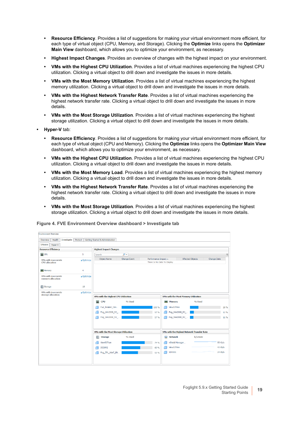- **Resource Efficiency**. Provides a list of suggestions for making your virtual environment more efficient, for each type of virtual object (CPU, Memory, and Storage). Clicking the **Optimize** links opens the **Optimizer Main View** dashboard, which allows you to optimize your environment, as necessary.
- **Highest Impact Changes**. Provides an overview of changes with the highest impact on your environment.
- **VMs with the Highest CPU Utilization**. Provides a list of virtual machines experiencing the highest CPU utilization. Clicking a virtual object to drill down and investigate the issues in more details.
- **VMs with the Most Memory Utilization**. Provides a list of virtual machines experiencing the highest memory utilization. Clicking a virtual object to drill down and investigate the issues in more details.
- **VMs with the Highest Network Transfer Rate**. Provides a list of virtual machines experiencing the highest network transfer rate. Clicking a virtual object to drill down and investigate the issues in more details.
- **VMs with the Most Storage Utilization**. Provides a list of virtual machines experiencing the highest storage utilization. Clicking a virtual object to drill down and investigate the issues in more details.
- **Hyper-V** tab:
	- **Resource Efficiency**. Provides a list of suggestions for making your virtual environment more efficient, for each type of virtual object (CPU and Memory). Clicking the **Optimize** links opens the **Optimizer Main View** dashboard, which allows you to optimize your environment, as necessary.
	- **VMs with the Highest CPU Utilization**. Provides a list of virtual machines experiencing the highest CPU utilization. Clicking a virtual object to drill down and investigate the issues in more details.
	- **VMs with the Most Memory Load**. Provides a list of virtual machines experiencing the highest memory utilization. Clicking a virtual object to drill down and investigate the issues in more details.
	- **VMs with the Highest Network Transfer Rate**. Provides a list of virtual machines experiencing the highest network transfer rate. Clicking a virtual object to drill down and investigate the issues in more details.
	- **VMs with the Most Storage Utilization**. Provides a list of virtual machines experiencing the highest storage utilization. Clicking a virtual object to drill down and investigate the issues in more details.



#### **Figure 4. FVE Environment Overview dashboard > Investigate tab**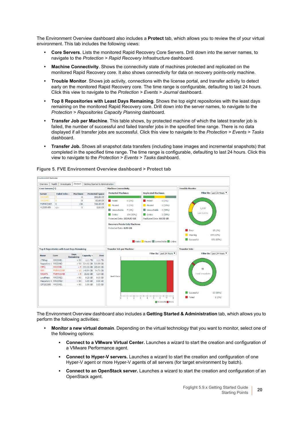The Environment Overview dashboard also includes a **Protect** tab, which allows you to review the of your virtual environment. This tab includes the following views:

- **Core Servers**. Lists the monitored Rapid Recovery Core Servers. Drill down into the server names, to navigate to the *Protection > Rapid Recovery Infrastructure* dashboard.
- **Machine Connectivity**. Shows the connectivity state of machines protected and replicated on the monitored Rapid Recovery core. It also shows connectivity for data on recovery points-only machine.
- **Trouble Monitor**. Shows job activity, connections with the license portal, and transfer activity to detect early on the monitored Rapid Recovery core. The time range is configurable, defaulting to last 24 hours. Click this view to navigate to the *Protection > Events > Journal* dashboard.
- **Top 8 Repositories with Least Days Remaining**. Shows the top eight repositories with the least days remaining on the monitored Rapid Recovery core. Drill down into the server names, to navigate to the *Protection > Repositories Capacity Planning* dashboard.
- **Transfer Job per Machine**. This table shows, by protected machine of which the latest transfer job is failed, the number of successful and failed transfer jobs in the specified time range. There is no data displayed if all transfer jobs are successful. Click this view to navigate to the *Protection > Events > Tasks*  dashboard.
- **Transfer Job.** Shows all snapshot data transfers (including base images and incremental snapshots) that completed in the specified time range. The time range is configurable, defaulting to last 24 hours. Click this view to navigate to the *Protection > Events > Tasks* dashboard.



**Figure 5. FVE Environment Overview dashboard > Protect tab**

The Environment Overview dashboard also includes a **Getting Started & Administration** tab, which allows you to perform the following activities:

- **Monitor a new virtual domain**. Depending on the virtual technology that you want to monitor, select one of the following options:
	- **▪ Connect to a VMware Virtual Center.** Launches a wizard to start the creation and configuration of a VMware Performance agent.
	- **Connect to Hyper-V servers.** Launches a wizard to start the creation and configuration of one Hyper-V agent or more Hyper-V agents of all servers (for target environment by batch).
	- **▪ Connect to an OpenStack server.** Launches a wizard to start the creation and configuration of an OpenStack agent.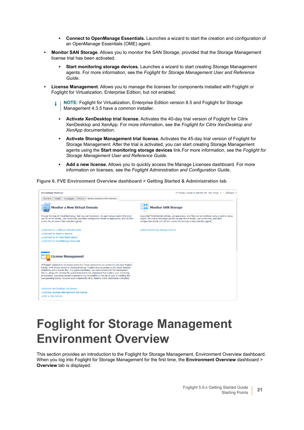- **▪ Connect to OpenManage Essentials.** Launches a wizard to start the creation and configuration of an OpenManage Essentials (OME) agent.
- **Monitor SAN Storage**. Allows you to monitor the SAN Storage, provided that the Storage Management license trial has been activated.
	- **Start monitoring storage devices.** Launches a wizard to start creating Storage Management agents. For more information, see the *Foglight for Storage Management User and Reference Guide*.
- **License Management**. Allows you to manage the licenses for components installed with Foglight or Foglight for Virtualization, Enterprise Edition, but not enabled.
	- **NOTE:** Foglight for Virtualization, Enterprise Edition version 8.5 and Foglight for Storage î. Management 4.3.5 have a common installer.
		- **▪ Activate XenDesktop trial license.** Activates the 40-day trial version of Foglight for Citrix XenDesktop and XenApp. For more information, see the *Foglight for Citrix XenDesktop and XenApp* documentation.
		- **▪ Activate Storage Management trial license.** Activates the 45-day trial version of Foglight for Storage Management. After the trial is activated, you can start creating Storage Management agents using the **Start monitoring storage devices** link.For more information, see the *Foglight for Storage Management User and Reference Guide*.
		- **▪ Add a new license.** Allows you to quickly access the Manage Licenses dashboard. For more information on licenses, see the *Foglight Administration and Configuration Guide*.

#### **Figure 6. FVE Environment Overview dashboard > Getting Started & Administration tab**



### <span id="page-20-0"></span>**Foglight for Storage Management Environment Overview**

This section provides an introduction to the Foglight for Storage Management, Environment Overview dashboard. When you log into Foglight for Storage Management for the first time, the **Environment Overview** dashboard > **Overview** tab is displayed.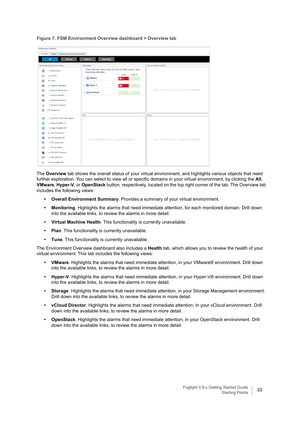| <b>Environment Overview</b>                            |                                                                               |                                        |  |  |  |  |  |  |
|--------------------------------------------------------|-------------------------------------------------------------------------------|----------------------------------------|--|--|--|--|--|--|
| Getting Started & Administration<br>Health<br>Overview |                                                                               |                                        |  |  |  |  |  |  |
| All<br><b>VMware</b>                                   | Hyper-V<br><b>OpenStack</b>                                                   |                                        |  |  |  |  |  |  |
| Overall Environment Summary                            | Monitoring                                                                    | Virtual Machine Health                 |  |  |  |  |  |  |
| 開<br>6 Datacenters                                     | These domains have important alarms that require your<br>immediate attention. |                                        |  |  |  |  |  |  |
| 13 Clusters<br>fini                                    | Fatal<br><b>Critical</b><br>> <b>Example VMware</b><br>Q11<br>60 -            |                                        |  |  |  |  |  |  |
| 25 Hosts<br>23 Hosts in Operation<br>凾                 | > lightyper-V<br>66                                                           |                                        |  |  |  |  |  |  |
| 儑<br>0 Hosts in Maintenance                            | $\sum$ OpenStack                                                              | This feature is not currently enabled. |  |  |  |  |  |  |
| 0 Hosts in Standby<br>匾                                | $\diamondsuit$ 0                                                              |                                        |  |  |  |  |  |  |
| 2 Hosts in Shutdown<br>r.                              |                                                                               |                                        |  |  |  |  |  |  |
| 0 Datastore Clusters                                   |                                                                               |                                        |  |  |  |  |  |  |
| 174 Datastores<br>Ē                                    |                                                                               |                                        |  |  |  |  |  |  |
| 凾<br>0 Resource Pools (Non-vApps)                      | Plan                                                                          | Tune                                   |  |  |  |  |  |  |
| 鸜<br>0 vApps Powered On                                |                                                                               |                                        |  |  |  |  |  |  |
| 鸜<br>0 vApps Powered Off                               |                                                                               |                                        |  |  |  |  |  |  |
| 43 VMs Powered On<br>r a                               |                                                                               |                                        |  |  |  |  |  |  |
| 28 VMs Powered Off<br>்                                | This feature is not currently enabled.                                        | This feature is not currently enabled. |  |  |  |  |  |  |
| 0 VMs Suspended<br>r.                                  |                                                                               |                                        |  |  |  |  |  |  |
| 0 VM Templates<br>m                                    |                                                                               |                                        |  |  |  |  |  |  |
| 10 VMs with Snapshots                                  |                                                                               |                                        |  |  |  |  |  |  |
| 3 VMs with Limit<br>ria                                |                                                                               |                                        |  |  |  |  |  |  |
| 4 Inaccessible VMs<br>楹                                |                                                                               |                                        |  |  |  |  |  |  |

**Figure 7. FSM Environment Overview dashboard > Overview tab**

The **Overview** tab shows the overall status of your virtual environment, and highlights various objects that need further exploration. You can select to view all or specific domains in your virtual environment, by clicking the **All**, **VMware**, **Hyper-V**, or **OpenStack** button, respectively, located on the top right corner of the tab. The Overview tab includes the following views:

- **Overall Environment Summary**. Provides a summary of your virtual environment.
- **Monitoring**. Highlights the alarms that need immediate attention, for each monitored domain. Drill down into the available links, to review the alarms in more detail.
- **Virtual Machine Health**. This functionality is currently unavailable.
- **Plan.** This functionality is currently unavailable.
- **Tune**. This functionality is currently unavailable.

The Environment Overview dashboard also includes a **Health** tab, which allows you to review the health of your virtual environment. This tab includes the following views:

- **VMware**. Highlights the alarms that need immediate attention, in your VMware® environment. Drill down into the available links, to review the alarms in more detail.
- **Hyper-V**. Highlights the alarms that need immediate attention, in your Hyper-V® environment. Drill down into the available links, to review the alarms in more detail.
- **Storage**. Highlights the alarms that need immediate attention, in your Storage Management environment. Drill down into the available links, to review the alarms in more detail.
- **vCloud Director**. Highlights the alarms that need immediate attention, in your vCloud environment. Drill down into the available links, to review the alarms in more detail.
- **OpenStack**. Highlights the alarms that need immediate attention, in your OpenStack environment. Drill down into the available links, to review the alarms in more detail.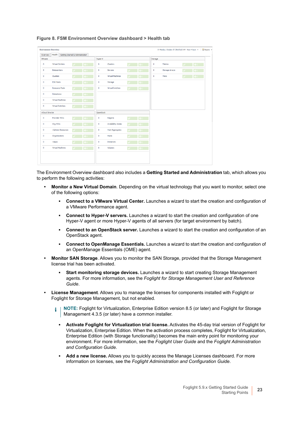| <b>Environment Overview</b> |                                            |                          |                                   |              |                           |                         |           | G- Monday, October 17, 2016 5:15 AM - Now 4 hours $w = \frac{1}{2}$ Reports $w = \frac{1}{2}$ |  |     |  |  |
|-----------------------------|--------------------------------------------|--------------------------|-----------------------------------|--------------|---------------------------|-------------------------|-----------|-----------------------------------------------------------------------------------------------|--|-----|--|--|
| Overview                    | Health<br>Getting Started & Administration |                          |                                   |              |                           |                         |           |                                                                                               |  |     |  |  |
| VMware                      |                                            |                          |                                   |              |                           |                         | Storage   |                                                                                               |  |     |  |  |
| $\bullet$                   | <b>Virtual Centers</b>                     |                          | ۵n                                | $\mathbf{0}$ | Clusters                  | $\bullet$               | ۰         | Fabrics                                                                                       |  | OO. |  |  |
| $\circ$                     | <b>Datacenters</b>                         | $\overline{\phantom{0}}$ | ΟO.                               | $\mathbf 0$  | <b>Servers</b>            | $\ddot{\bullet}$        | $\bullet$ | <b>Storage Arrays</b>                                                                         |  | ÕΟ. |  |  |
| $\circ$                     | Clusters                                   | $\overline{\phantom{0}}$ | ۵n                                | $\mathbf{0}$ | Virtual Machines          | Õ٥                      | $\circ$   | Filers                                                                                        |  | OO. |  |  |
| $\circ$                     | <b>ESX Hosts</b>                           | u                        | ÕΟ.                               | $\mathbf{0}$ | Storage                   | $\ddot{\bullet}$        |           |                                                                                               |  |     |  |  |
| $\bullet$                   | <b>Resource Pools</b>                      | $\mathcal{L}$            | $\overline{\bullet}$ <sup>0</sup> | $\mathbf{0}$ | Virtual Switches          | $\mathbf{1} \diamond 0$ |           |                                                                                               |  |     |  |  |
| $\bullet$                   | <b>Datastores</b>                          | $\overline{\phantom{0}}$ | $\ddot{\Phi}$ <sup>0</sup>        |              |                           |                         |           |                                                                                               |  |     |  |  |
| $\circ$                     | Virtual Machines                           | $\overline{\phantom{0}}$ | Ô٥                                |              |                           |                         |           |                                                                                               |  |     |  |  |
| $\mathbf{0}$                | Virtual Switches                           | $\checkmark$             | $\sqrt{20}$                       |              |                           |                         |           |                                                                                               |  |     |  |  |
| vCloud Director             |                                            |                          | OpenStack                         |              |                           |                         |           |                                                                                               |  |     |  |  |
| $\bullet$                   | Provider VDCs                              | $\overline{\phantom{a}}$ |                                   | $\mathbf 0$  | Regions                   | ۵n                      |           |                                                                                               |  |     |  |  |
| $\bullet$                   | Org VDCs                                   | $\overline{\phantom{0}}$ | $\bullet$ <sub>0</sub>            | $\mathbf{0}$ | <b>Availability Zones</b> | $\bullet$ <sup>0</sup>  |           |                                                                                               |  |     |  |  |
| $\bullet$                   | vSphere Resources                          | $\mathcal{L}$            | $\overline{\bullet}$              | $\bullet$    | <b>Host Aggregates</b>    | $\ddot{\bullet}$        |           |                                                                                               |  |     |  |  |
| $\bullet$                   | Organizations                              | $\overline{\phantom{a}}$ | 00                                | $\mathbf{0}$ | Hosts                     | $\ddot{\bullet}$        |           |                                                                                               |  |     |  |  |
| $\bullet$                   | vApps                                      |                          |                                   | $\mathbf{0}$ | Instances                 | $\ddot{\bullet}$        |           |                                                                                               |  |     |  |  |
| $\circ$                     | Virtual Machines                           | $\sim$                   | ा⊗ा                               | $\mathbf{0}$ | Volumes                   | $\vee$ $\vee$ $\circ$   |           |                                                                                               |  |     |  |  |
|                             |                                            |                          |                                   |              |                           |                         |           |                                                                                               |  |     |  |  |
|                             |                                            |                          |                                   |              |                           |                         |           |                                                                                               |  |     |  |  |
|                             |                                            |                          |                                   |              |                           |                         |           |                                                                                               |  |     |  |  |

#### **Figure 8. FSM Environment Overview dashboard > Health tab**

The Environment Overview dashboard also includes a **Getting Started and Administration** tab, which allows you to perform the following activities:

- **Monitor a New Virtual Domain**. Depending on the virtual technology that you want to monitor, select one of the following options:
	- **▪ Connect to a VMware Virtual Center.** Launches a wizard to start the creation and configuration of a VMware Performance agent.
	- **▪ Connect to Hyper-V servers.** Launches a wizard to start the creation and configuration of one Hyper-V agent or more Hyper-V agents of all servers (for target environment by batch).
	- **Connect to an OpenStack server.** Launches a wizard to start the creation and configuration of an OpenStack agent.
	- **▪ Connect to OpenManage Essentials.** Launches a wizard to start the creation and configuration of an OpenManage Essentials (OME) agent.
- **Monitor SAN Storage**. Allows you to monitor the SAN Storage, provided that the Storage Management license trial has been activated.
	- **▪ Start monitoring storage devices.** Launches a wizard to start creating Storage Management agents. For more information, see the *Foglight for Storage Management User and Reference Guide*.
- **License Management**. Allows you to manage the licenses for components installed with Foglight or Foglight for Storage Management, but not enabled.
	- **NOTE:** Foglight for Virtualization, Enterprise Edition version 8.5 (or later) and Foglight for Storage i. Management 4.3.5 (or later) have a common installer.
		- **▪ Activate Foglight for Virtualization trial license.** Activates the 45-day trial version of Foglight for Virtualization, Enterprise Edition. When the activation process completes, Foglight for Virtualization, Enterprise Edition (with Storage functionality) becomes the main entry point for monitoring your environment. For more information, see the *Foglight User Guide* and the *Foglight Administration and Configuration Guide*.
		- **▪ Add a new license.** Allows you to quickly access the Manage Licenses dashboard. For more information on licenses, see the *Foglight Administration and Configuration Guide*.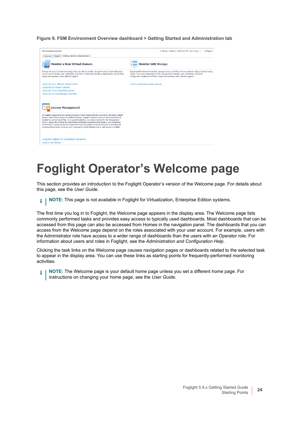**Figure 9. FSM Environment Overview dashboard > Getting Started and Administration tab**



### <span id="page-23-0"></span>**Foglight Operator's Welcome page**

This section provides an introduction to the Foglight Operator's version of the Welcome page. For details about this page, see the *User Guide*.

**i** | NOTE: This page is not available in Foglight for Virtualization, Enterprise Edition systems.

The first time you log in to Foglight, the Welcome page appears in the display area. The Welcome page lists commonly performed tasks and provides easy access to typically used dashboards. Most dashboards that can be accessed from this page can also be accessed from Homes in the navigation panel. The dashboards that you can access from the Welcome page depend on the roles associated with your user account. For example, users with the Administrator role have access to a wider range of dashboards than the users with an Operator role. For information about users and roles in Foglight, see the *Administration and Configuration Help*.

Clicking the task links on the Welcome page causes navigation pages or dashboards related to the selected task to appear in the display area. You can use these links as starting points for frequently-performed monitoring activities.

**NOTE:** The Welcome page is your default home page unless you set a different home page. For i instructions on changing your home page, see the *User Guide*.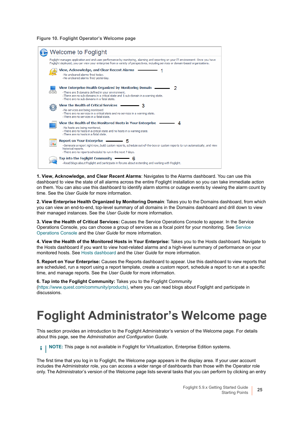**Figure 10. Foglight Operator's Welcome page**



**1. View, Acknowledge, and Clear Recent Alarms**: Navigates to the Alarms dashboard. You can use this dashboard to view the state of all alarms across the entire Foglight installation so you can take immediate action on them. You can also use this dashboard to identify alarm storms or outage events by viewing the alarm count by time. See the *User Guide* for more information.

**2. View Enterprise Health Organized by Monitoring Domain**: Takes you to the Domains dashboard, from which you can view an end-to-end, top-level summary of all domains in the Domains dashboard and drill down to view their managed instances. See the *User Guide* for more information.

**3. View the Health of Critical Services:** Causes the Service Operations Console to appear. In the Service Operations Console, you can choose a group of services as a focal point for your monitoring. See [Service](#page-25-0)  [Operations Console](#page-25-0) and the *User Guide* for more information.

**4. View the Health of the Monitored Hosts in Your Enterprise:** Takes you to the Hosts dashboard. Navigate to the Hosts dashboard if you want to view host-related alarms and a high-level summary of performance on your monitored hosts. See [Hosts dashboard](#page-27-0) and the *User Guide* for more information.

**5. Report on Your Enterprise:** Causes the Reports dashboard to appear. Use this dashboard to view reports that are scheduled, run a report using a report template, create a custom report, schedule a report to run at a specific time, and manage reports. See the *User Guide* for more information.

**6. Tap into the Foglight Community:** Takes you to the Foglight Community ([https://www.quest.com/community/products\),](https://www.quest.com/community/products) where you can read blogs about Foglight and participate in discussions.

### <span id="page-24-0"></span>**Foglight Administrator's Welcome page**

This section provides an introduction to the Foglight Administrator's version of the Welcome page. For details about this page, see the *Administration and Configuration Guide*.

**i** | NOTE: This page is not available in Foglight for Virtualization, Enterprise Edition systems.

The first time that you log in to Foglight, the Welcome page appears in the display area. If your user account includes the Administrator role, you can access a wider range of dashboards than those with the Operator role only. The Administrator's version of the Welcome page lists several tasks that you can perform by clicking an entry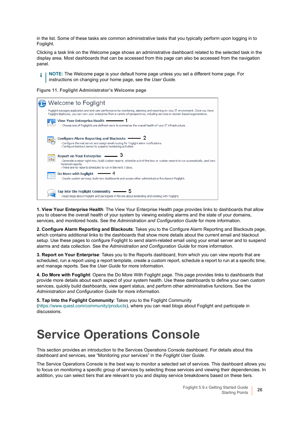in the list. Some of these tasks are common administrative tasks that you typically perform upon logging in to Foglight.

Clicking a task link on the Welcome page shows an administrative dashboard related to the selected task in the display area. Most dashboards that can be accessed from this page can also be accessed from the navigation panel.

**NOTE:** The Welcome page is your default home page unless you set a different home page. For i l instructions on changing your home page, see the *User Guide*.

**Figure 11. Foglight Administrator's Welcome page**

| <b>Welcome to Foglight</b>                                                                                                                                                                                                                                             |
|------------------------------------------------------------------------------------------------------------------------------------------------------------------------------------------------------------------------------------------------------------------------|
| Foglight manages application and end-user performance by monitoring, alarming and reporting on your IT environment. Once you have<br>Foglight deployed, you can view your enterprise from a variety of perspectives, including services or domain-based organizations. |
| View Your Enterprise Health - 1<br>· Choose one of Foglight's pre-defined views to summarize the overall health of your IT infrastructure.                                                                                                                             |
| Configure Alarm Reporting and Blackouts —————— 2<br>· Configure the mail server and assign email routing for Foglight alarm notifications.<br>Configure blackout period to suspend monitoring activities.                                                              |
| <b>Report on Your Enterprise</b><br>請<br>-Generate a report right now, build custom reports, schedule out-of-the-box or custom reports to run automatically, and view<br>historical reports.<br>· There are no reports scheduled to run in the next 7 days.            |
| Do More with Foglight –––––––– 4<br>- Create custom services, build new dashboards and access other administrative functions in Foglight.                                                                                                                              |
| Tap into the Foglight Community $\longrightarrow$ 5<br>·Read blogs about Foglight and participate in forums about extending and working with Foglight.                                                                                                                 |

**1. View Your Enterprise Health**: The View Your Enterprise Health page provides links to dashboards that allow you to observe the overall health of your system by viewing existing alarms and the state of your domains, services, and monitored hosts. See the *Administration and Configuration Guide* for more information.

**2. Configure Alarm Reporting and Blackouts**: Takes you to the Configure Alarm Reporting and Blackouts page, which contains additional links to the dashboards that show more details about the current email and blackout setup. Use these pages to configure Foglight to send alarm-related email using your email server and to suspend alarms and data collection. See the *Administration and Configuration Guide* for more information.

**3. Report on Your Enterprise**: Takes you to the Reports dashboard, from which you can view reports that are scheduled, run a report using a report template, create a custom report, schedule a report to run at a specific time, and manage reports. See the *User Guide* for more information.

**4. Do More with Foglight**: Opens the Do More With Foglight page. This page provides links to dashboards that provide more details about each aspect of your system health. Use these dashboards to define your own custom services, quickly build dashboards, view agent status, and perform other administrative functions. See the *Administration and Configuration Guide* for more information.

**5. Tap Into the Foglight Community**[: Takes you to the Foglight Community](https://www.quest.com/community/products)  [\(h](https://www.quest.com/community/products)ttps://www.quest.com/community/products), where you can read blogs about Foglight and participate in discussions.

#### <span id="page-25-0"></span>**Service Operations Console**

This section provides an introduction to the Services Operations Console dashboard. For details about this dashboard and services, see "Monitoring your services" in the *Foglight User Guide*.

The Service Operations Console is the best way to monitor a selected set of services. This dashboard allows you to focus on monitoring a specific group of services by selecting those services and viewing their dependencies. In addition, you can select tiers that are relevant to you and display service breakdowns based on these tiers.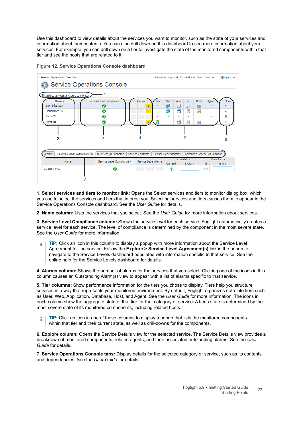Use this dashboard to view details about the services you want to monitor, such as the state of your services and information about their contents. You can also drill down on this dashboard to see more information about your services. For example, you can drill down on a tier to investigate the state of the monitored components within that tier and see the hosts that are related to it.





**1. Select services and tiers to monitor link:** Opens the Select services and tiers to monitor dialog box, which you use to select the services and tiers that interest you. Selecting services and tiers causes them to appear in the Service Operations Console dashboard. See the *User Guide* for details.

**2. Name column:** Lists the services that you select. See the *User Guide* for more information about services.

**3. Service Level Compliance column:** Shows the service level for each service. Foglight automatically creates a service level for each service. The level of compliance is determined by the component in the most severe state. See the *User Guide* for more information.

**TIP:** Click an icon in this column to display a popup with more information about the Service Level ÷ Agreement for the service. Follow the **Explore > Service Level Agreement(s)** link in the popup to navigate to the Service Levels dashboard populated with information specific to that service. See the online help for the Service Levels dashboard for details.

**4. Alarms column:** Shows the number of alarms for the services that you select. Clicking one of the icons in this column causes an Outstanding Alarm(s) view to appear with a list of alarms specific to that service.

**5. Tier columns:** Show performance information for the tiers you chose to display. Tiers help you structure services in a way that represents your monitored environment. By default, Foglight organizes data into tiers such as User, Web, Application, Database, Host, and Agent. See the *User Guide* for more information. The icons in each column show the aggregate state of that tier for that category or service. A tier's state is determined by the most severe state of its monitored components, including related hosts.

**TIP:** Click an icon in one of these columns to display a popup that lists the monitored components f. within that tier and their current state, as well as drill-downs for the components.

**6. Explore column:** Opens the Service Details view for the selected service. The Service Details view provides a breakdown of monitored components, related agents, and their associated outstanding alarms. See the *User Guide* for details.

**7. Service Operations Console tabs:** Display details for the selected category or service, such as its contents and dependencies. See the *User Guide* for details.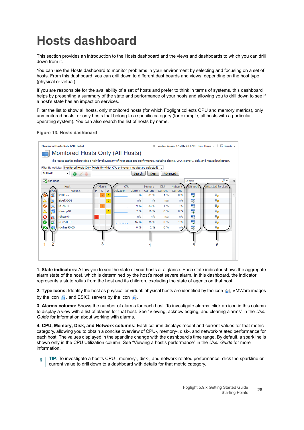## <span id="page-27-0"></span>**Hosts dashboard**

This section provides an introduction to the Hosts dashboard and the views and dashboards to which you can drill down from it.

You can use the Hosts dashboard to monitor problems in your environment by selecting and focusing on a set of hosts. From this dashboard, you can drill down to different dashboards and views, depending on the host type (physical or virtual).

If you are responsible for the availability of a set of hosts and prefer to think in terms of systems, this dashboard helps by presenting a summary of the state and performance of your hosts and allowing you to drill down to see if a host's state has an impact on services.

Filter the list to show all hosts, only monitored hosts (for which Foglight collects CPU and memory metrics), only unmonitored hosts, or only hosts that belong to a specific category (for example, all hosts with a particular operating system). You can also search the list of hosts by name.





**1. State indicators:** Allow you to see the state of your hosts at a glance. Each state indicator shows the aggregate alarm state of the host, which is determined by the host's most severe alarm. In this dashboard, the indicator represents a state rollup from the host and its children, excluding the state of agents on that host.

**2. Type icons:** Identify the host as physical or virtual: physical hosts are identified by the icon **a**, VMWare images by the icon  $\blacksquare$ , and ESX® servers by the icon  $\blacksquare$ .

**3. Alarms column:** Shows the number of alarms for each host. To investigate alarms, click an icon in this column to display a view with a list of alarms for that host. See "Viewing, acknowledging, and clearing alarms" in the *User Guide* for information about working with alarms.

**4. CPU, Memory, Disk, and Network columns:** Each column displays recent and current values for that metric category, allowing you to obtain a concise overview of CPU-, memory-, disk-, and network-related performance for each host. The values displayed in the sparkline change with the dashboard's time range. By default, a sparkline is shown only in the CPU Utilization column. See "Viewing a host's performance" in the *User Guide* for more information.

**TIP:** To investigate a host's CPU-, memory-, disk-, and network-related performance, click the sparkline or i current value to drill down to a dashboard with details for that metric category.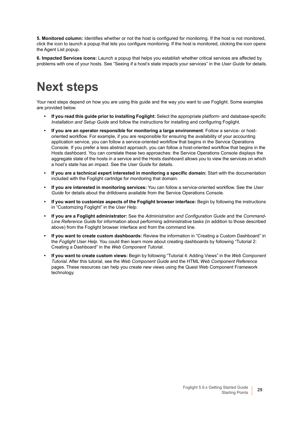**5. Monitored column:** Identifies whether or not the host is configured for monitoring. If the host is not monitored, click the icon to launch a popup that lets you configure monitoring. If the host is monitored, clicking the icon opens the Agent List popup.

**6. Impacted Services icons:** Launch a popup that helps you establish whether critical services are affected by problems with one of your hosts. See "Seeing if a host's state impacts your services" in the *User Guide* for details.

### <span id="page-28-0"></span>**Next steps**

Your next steps depend on how you are using this guide and the way you want to use Foglight. Some examples are provided below.

- **If you read this guide prior to installing Foglight:** Select the appropriate platform- and database-specific *Installation and Setup Guide* and follow the instructions for installing and configuring Foglight.
- **If you are an operator responsible for monitoring a large environment**: Follow a service- or hostoriented workflow. For example, if you are responsible for ensuring the availability of your accounting application service, you can follow a service-oriented workflow that begins in the Service Operations Console. If you prefer a less abstract approach, you can follow a host-oriented workflow that begins in the Hosts dashboard. You can correlate these two approaches: the Service Operations Console displays the aggregate state of the hosts in a service and the Hosts dashboard allows you to view the services on which a host's state has an impact. See the *User Guide* for details.
- **If you are a technical expert interested in monitoring a specific domain:** Start with the documentation included with the Foglight cartridge for monitoring that domain.
- **If you are interested in monitoring services:** You can follow a service-oriented workflow. See the *User Guide* for details about the drilldowns available from the Service Operations Console.
- **If you want to customize aspects of the Foglight browser interface:** Begin by following the instructions in "Customizing Foglight" in the *User Help*.
- **If you are a Foglight administrator:** See the *Administration and Configuration Guide* and the *Command-Line Reference Guide* for information about performing administrative tasks (in addition to those described above) from the Foglight browser interface and from the command line.
- **If you want to create custom dashboards:** Review the information in "Creating a Custom Dashboard" in the *Foglight User Help*. You could then learn more about creating dashboards by following "Tutorial 2: Creating a Dashboard" in the *Web Component Tutoria*l.
- **If you want to create custom views:** Begin by following "Tutorial 4: Adding Views" in the *Web Component Tutorial*. After this tutorial, see the *Web Component Guide* and the HTML *Web Component Reference* pages. These resources can help you create new views using the Quest Web Component Framework technology.